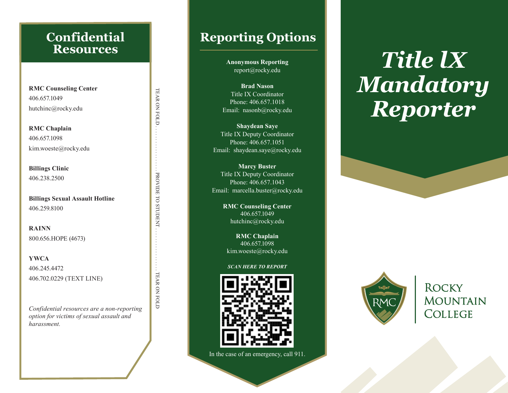### **Confidential Resources**

**RMC Counseling Center**  406.657.1049 hutchinc@rocky.edu

**RMC Chaplain** 406.657.1098 kim.woeste@rocky.edu

**Billings Clinic**  406.238.2500

**Billings Sexual Assault Hotline**  406.259.8100

TEAR ON FOLD . . . . . . . . . . . . . . . . . . PROVIDE TO STUDENT . . . . . . . . . . . . . . . . . TEAR ON FOLD

. PROVIDE TO STUDENT.

TEAR ON FOLD

TEAR ON FOLD

**RAINN**  800.656.HOPE (4673)

**YWCA**  406.245.4472 406.702.0229 (TEXT LINE)

*Confidential resources are a non-reporting option for victims of sexual assault and harassment.*

# Reporting Options **Reporting Options**  $\overline{\phantom{a}}$

report@rocky.edu **Anonymous Reporting** 

**report Brad Nason** Email: nasonb@rocky.edu Title IX Coordinator Phone: 406.657.1018

Title IX Coordinator Title IX Deputy Coordinator Phone:  $406.657.1051$ an Saye<br>
y Coordinator<br>
5.657.1051<br>
.saye@rocky.edu **Shaydean Saye** Email: shaydean.saye@rocky.edu

Shaydean Saye Email: marcella.buster@rocky.edu **Marcy Buster** Title IX Deputy Coordinator Phone: 406.657.1043

**Title IX OC Counseling Center ATT** Phone: 406.657.1051 hutchinc@rocky.edu 406.657.1049

Email: shaydean.saye@rocky.edu **RMC Chaplain** 406.657.1098 kim.woeste@rocky.edu

#### *SCAN HERE TO REPORT*



In the case of an emergency, call 911.

Copyright © 2016 Crescendo Interactive, Inc. Used by permission.

# $\begin{array}{ccc} \mathfrak{g} & & \ & \ & \ & \ & \mathfrak{g} \ & & \ & \ & \ & \ & \mathfrak{g} \end{array}$  $\begin{array}{c} \text{or} \\ 18 \\ \text{y.edu} \end{array}$ *Title lX Mandatory Reporter*



**ROCKY MOUNTAIN** COLLEGE